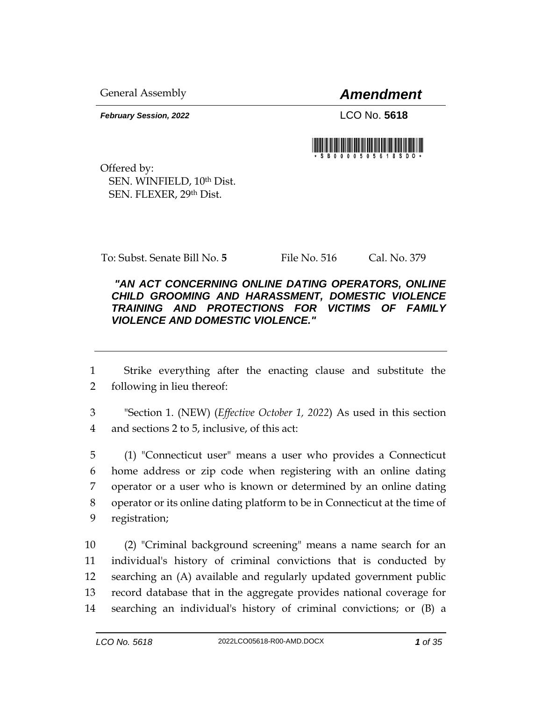General Assembly *Amendment*

*February Session, 2022* LCO No. **5618**

Offered by: SEN. WINFIELD, 10th Dist. SEN. FLEXER, 29th Dist.

To: Subst. Senate Bill No. **5** File No. 516 Cal. No. 379

## *"AN ACT CONCERNING ONLINE DATING OPERATORS, ONLINE CHILD GROOMING AND HARASSMENT, DOMESTIC VIOLENCE TRAINING AND PROTECTIONS FOR VICTIMS OF FAMILY VIOLENCE AND DOMESTIC VIOLENCE."*

1 Strike everything after the enacting clause and substitute the 2 following in lieu thereof:

3 "Section 1. (NEW) (*Effective October 1, 2022*) As used in this section 4 and sections 2 to 5, inclusive, of this act:

 (1) "Connecticut user" means a user who provides a Connecticut home address or zip code when registering with an online dating operator or a user who is known or determined by an online dating operator or its online dating platform to be in Connecticut at the time of registration;

 (2) "Criminal background screening" means a name search for an individual's history of criminal convictions that is conducted by searching an (A) available and regularly updated government public record database that in the aggregate provides national coverage for searching an individual's history of criminal convictions; or (B) a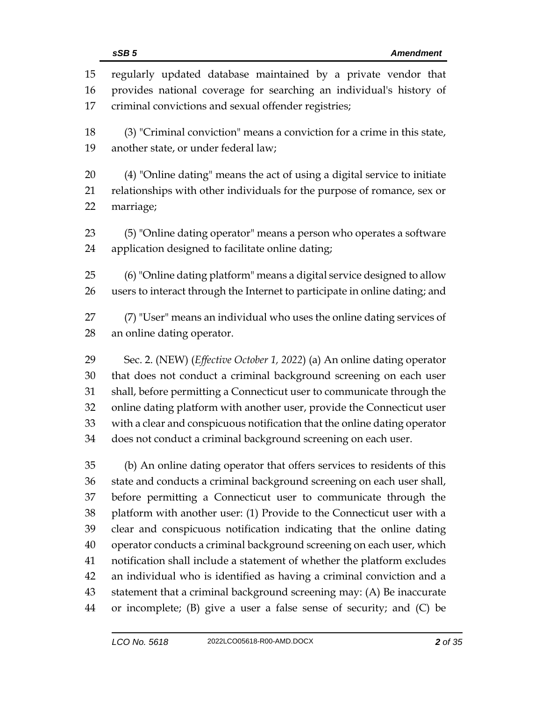| 15                                     | regularly updated database maintained by a private vendor that                                                                                                                                                                                                                                                                                                                                                                                  |
|----------------------------------------|-------------------------------------------------------------------------------------------------------------------------------------------------------------------------------------------------------------------------------------------------------------------------------------------------------------------------------------------------------------------------------------------------------------------------------------------------|
| 16                                     | provides national coverage for searching an individual's history of                                                                                                                                                                                                                                                                                                                                                                             |
| 17                                     | criminal convictions and sexual offender registries;                                                                                                                                                                                                                                                                                                                                                                                            |
| 18                                     | (3) "Criminal conviction" means a conviction for a crime in this state,                                                                                                                                                                                                                                                                                                                                                                         |
| 19                                     | another state, or under federal law;                                                                                                                                                                                                                                                                                                                                                                                                            |
| 20                                     | (4) "Online dating" means the act of using a digital service to initiate                                                                                                                                                                                                                                                                                                                                                                        |
| 21                                     | relationships with other individuals for the purpose of romance, sex or                                                                                                                                                                                                                                                                                                                                                                         |
| 22                                     | marriage;                                                                                                                                                                                                                                                                                                                                                                                                                                       |
| 23                                     | (5) "Online dating operator" means a person who operates a software                                                                                                                                                                                                                                                                                                                                                                             |
| 24                                     | application designed to facilitate online dating;                                                                                                                                                                                                                                                                                                                                                                                               |
| 25                                     | (6) "Online dating platform" means a digital service designed to allow                                                                                                                                                                                                                                                                                                                                                                          |
| 26                                     | users to interact through the Internet to participate in online dating; and                                                                                                                                                                                                                                                                                                                                                                     |
| 27                                     | (7) "User" means an individual who uses the online dating services of                                                                                                                                                                                                                                                                                                                                                                           |
| 28                                     | an online dating operator.                                                                                                                                                                                                                                                                                                                                                                                                                      |
| 29                                     | Sec. 2. (NEW) (Effective October 1, 2022) (a) An online dating operator                                                                                                                                                                                                                                                                                                                                                                         |
| 30                                     | that does not conduct a criminal background screening on each user                                                                                                                                                                                                                                                                                                                                                                              |
| 31                                     | shall, before permitting a Connecticut user to communicate through the                                                                                                                                                                                                                                                                                                                                                                          |
| 32                                     | online dating platform with another user, provide the Connecticut user                                                                                                                                                                                                                                                                                                                                                                          |
| 33                                     | with a clear and conspicuous notification that the online dating operator                                                                                                                                                                                                                                                                                                                                                                       |
| 34                                     | does not conduct a criminal background screening on each user.                                                                                                                                                                                                                                                                                                                                                                                  |
| 35<br>36<br>37<br>38<br>39<br>40<br>41 | (b) An online dating operator that offers services to residents of this<br>state and conducts a criminal background screening on each user shall,<br>before permitting a Connecticut user to communicate through the<br>platform with another user: (1) Provide to the Connecticut user with a<br>clear and conspicuous notification indicating that the online dating<br>operator conducts a criminal background screening on each user, which |
| 42<br>43<br>44                         | notification shall include a statement of whether the platform excludes<br>an individual who is identified as having a criminal conviction and a<br>statement that a criminal background screening may: (A) Be inaccurate<br>or incomplete; (B) give a user a false sense of security; and (C) be                                                                                                                                               |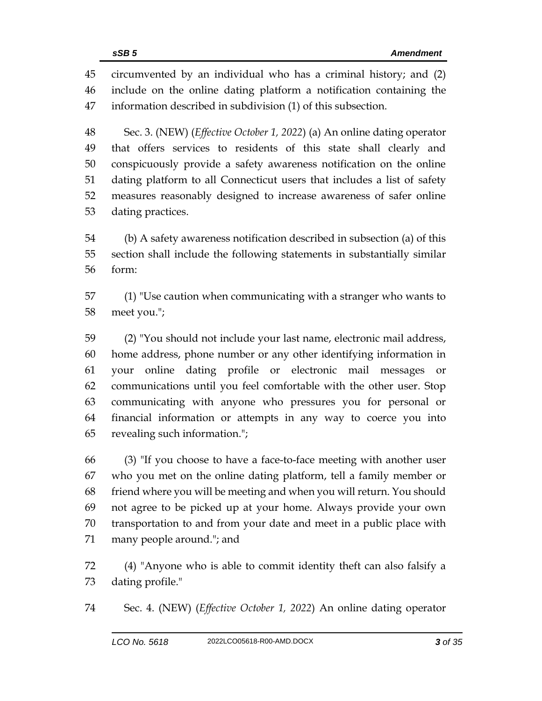circumvented by an individual who has a criminal history; and (2) include on the online dating platform a notification containing the information described in subdivision (1) of this subsection.

 Sec. 3. (NEW) (*Effective October 1, 2022*) (a) An online dating operator that offers services to residents of this state shall clearly and conspicuously provide a safety awareness notification on the online dating platform to all Connecticut users that includes a list of safety measures reasonably designed to increase awareness of safer online dating practices.

 (b) A safety awareness notification described in subsection (a) of this section shall include the following statements in substantially similar form:

 (1) "Use caution when communicating with a stranger who wants to meet you.";

 (2) "You should not include your last name, electronic mail address, home address, phone number or any other identifying information in your online dating profile or electronic mail messages or communications until you feel comfortable with the other user. Stop communicating with anyone who pressures you for personal or financial information or attempts in any way to coerce you into revealing such information.";

 (3) "If you choose to have a face-to-face meeting with another user who you met on the online dating platform, tell a family member or friend where you will be meeting and when you will return. You should not agree to be picked up at your home. Always provide your own transportation to and from your date and meet in a public place with many people around."; and

 (4) "Anyone who is able to commit identity theft can also falsify a dating profile."

Sec. 4. (NEW) (*Effective October 1, 2022*) An online dating operator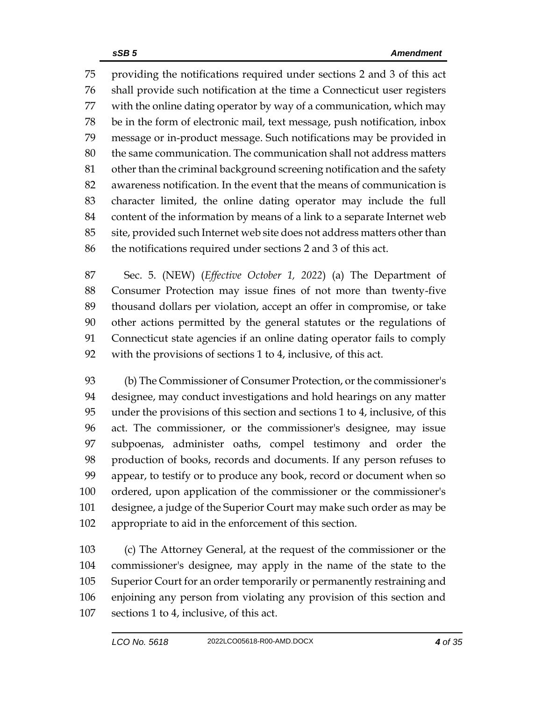providing the notifications required under sections 2 and 3 of this act shall provide such notification at the time a Connecticut user registers with the online dating operator by way of a communication, which may be in the form of electronic mail, text message, push notification, inbox message or in-product message. Such notifications may be provided in the same communication. The communication shall not address matters other than the criminal background screening notification and the safety awareness notification. In the event that the means of communication is character limited, the online dating operator may include the full content of the information by means of a link to a separate Internet web site, provided such Internet web site does not address matters other than the notifications required under sections 2 and 3 of this act.

 Sec. 5. (NEW) (*Effective October 1, 2022*) (a) The Department of Consumer Protection may issue fines of not more than twenty-five thousand dollars per violation, accept an offer in compromise, or take other actions permitted by the general statutes or the regulations of Connecticut state agencies if an online dating operator fails to comply with the provisions of sections 1 to 4, inclusive, of this act.

 (b) The Commissioner of Consumer Protection, or the commissioner's designee, may conduct investigations and hold hearings on any matter under the provisions of this section and sections 1 to 4, inclusive, of this act. The commissioner, or the commissioner's designee, may issue subpoenas, administer oaths, compel testimony and order the production of books, records and documents. If any person refuses to appear, to testify or to produce any book, record or document when so ordered, upon application of the commissioner or the commissioner's designee, a judge of the Superior Court may make such order as may be appropriate to aid in the enforcement of this section.

 (c) The Attorney General, at the request of the commissioner or the commissioner's designee, may apply in the name of the state to the Superior Court for an order temporarily or permanently restraining and enjoining any person from violating any provision of this section and sections 1 to 4, inclusive, of this act.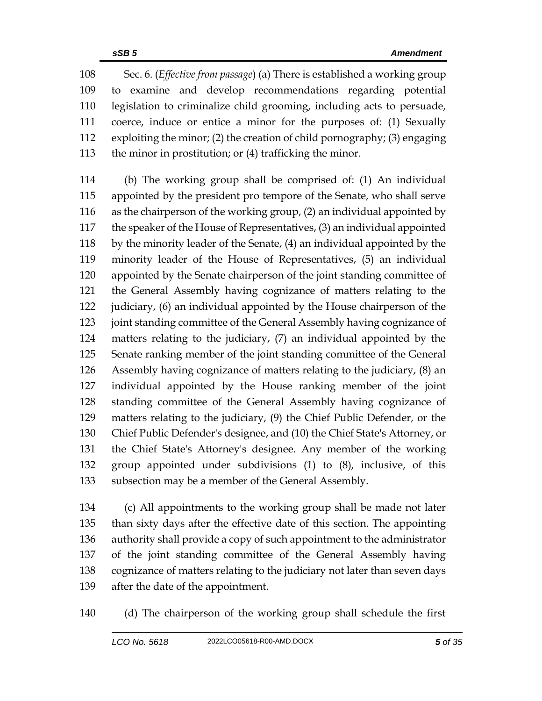Sec. 6. (*Effective from passage*) (a) There is established a working group to examine and develop recommendations regarding potential legislation to criminalize child grooming, including acts to persuade, coerce, induce or entice a minor for the purposes of: (1) Sexually exploiting the minor; (2) the creation of child pornography; (3) engaging the minor in prostitution; or (4) trafficking the minor.

 (b) The working group shall be comprised of: (1) An individual appointed by the president pro tempore of the Senate, who shall serve as the chairperson of the working group, (2) an individual appointed by the speaker of the House of Representatives, (3) an individual appointed by the minority leader of the Senate, (4) an individual appointed by the minority leader of the House of Representatives, (5) an individual appointed by the Senate chairperson of the joint standing committee of the General Assembly having cognizance of matters relating to the judiciary, (6) an individual appointed by the House chairperson of the 123 joint standing committee of the General Assembly having cognizance of matters relating to the judiciary, (7) an individual appointed by the Senate ranking member of the joint standing committee of the General Assembly having cognizance of matters relating to the judiciary, (8) an individual appointed by the House ranking member of the joint standing committee of the General Assembly having cognizance of matters relating to the judiciary, (9) the Chief Public Defender, or the Chief Public Defender's designee, and (10) the Chief State's Attorney, or the Chief State's Attorney's designee. Any member of the working group appointed under subdivisions (1) to (8), inclusive, of this subsection may be a member of the General Assembly.

 (c) All appointments to the working group shall be made not later than sixty days after the effective date of this section. The appointing authority shall provide a copy of such appointment to the administrator of the joint standing committee of the General Assembly having cognizance of matters relating to the judiciary not later than seven days after the date of the appointment.

(d) The chairperson of the working group shall schedule the first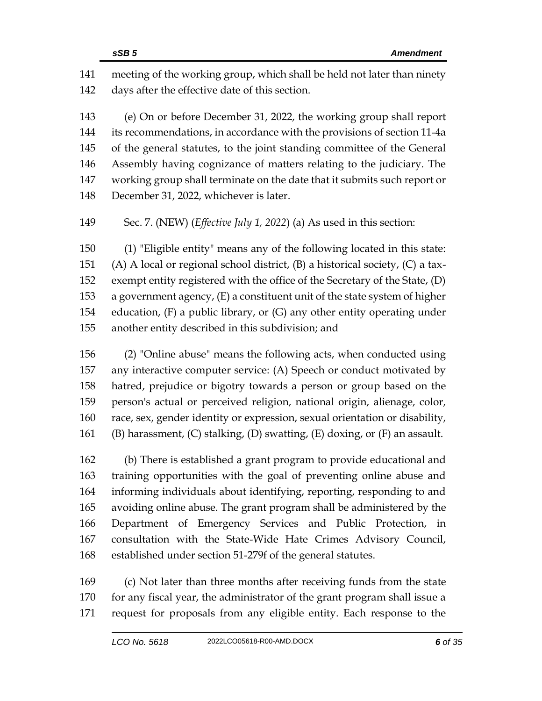meeting of the working group, which shall be held not later than ninety days after the effective date of this section.

 (e) On or before December 31, 2022, the working group shall report its recommendations, in accordance with the provisions of section 11-4a of the general statutes, to the joint standing committee of the General Assembly having cognizance of matters relating to the judiciary. The working group shall terminate on the date that it submits such report or December 31, 2022, whichever is later.

Sec. 7. (NEW) (*Effective July 1, 2022*) (a) As used in this section:

 (1) "Eligible entity" means any of the following located in this state: (A) A local or regional school district, (B) a historical society, (C) a tax- exempt entity registered with the office of the Secretary of the State, (D) a government agency, (E) a constituent unit of the state system of higher education, (F) a public library, or (G) any other entity operating under another entity described in this subdivision; and

 (2) "Online abuse" means the following acts, when conducted using any interactive computer service: (A) Speech or conduct motivated by hatred, prejudice or bigotry towards a person or group based on the person's actual or perceived religion, national origin, alienage, color, race, sex, gender identity or expression, sexual orientation or disability, (B) harassment, (C) stalking, (D) swatting, (E) doxing, or (F) an assault.

 (b) There is established a grant program to provide educational and training opportunities with the goal of preventing online abuse and informing individuals about identifying, reporting, responding to and avoiding online abuse. The grant program shall be administered by the Department of Emergency Services and Public Protection, in consultation with the State-Wide Hate Crimes Advisory Council, established under section 51-279f of the general statutes.

 (c) Not later than three months after receiving funds from the state 170 for any fiscal year, the administrator of the grant program shall issue a request for proposals from any eligible entity. Each response to the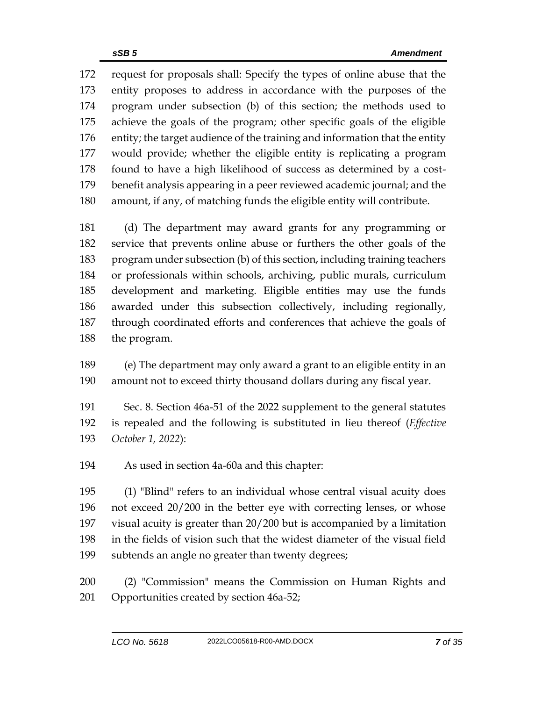request for proposals shall: Specify the types of online abuse that the entity proposes to address in accordance with the purposes of the program under subsection (b) of this section; the methods used to achieve the goals of the program; other specific goals of the eligible entity; the target audience of the training and information that the entity would provide; whether the eligible entity is replicating a program found to have a high likelihood of success as determined by a cost- benefit analysis appearing in a peer reviewed academic journal; and the amount, if any, of matching funds the eligible entity will contribute.

 (d) The department may award grants for any programming or service that prevents online abuse or furthers the other goals of the program under subsection (b) of this section, including training teachers or professionals within schools, archiving, public murals, curriculum development and marketing. Eligible entities may use the funds awarded under this subsection collectively, including regionally, through coordinated efforts and conferences that achieve the goals of the program.

 (e) The department may only award a grant to an eligible entity in an amount not to exceed thirty thousand dollars during any fiscal year.

 Sec. 8. Section 46a-51 of the 2022 supplement to the general statutes is repealed and the following is substituted in lieu thereof (*Effective October 1, 2022*):

As used in section 4a-60a and this chapter:

 (1) "Blind" refers to an individual whose central visual acuity does not exceed 20/200 in the better eye with correcting lenses, or whose visual acuity is greater than 20/200 but is accompanied by a limitation in the fields of vision such that the widest diameter of the visual field subtends an angle no greater than twenty degrees;

 (2) "Commission" means the Commission on Human Rights and Opportunities created by section 46a-52;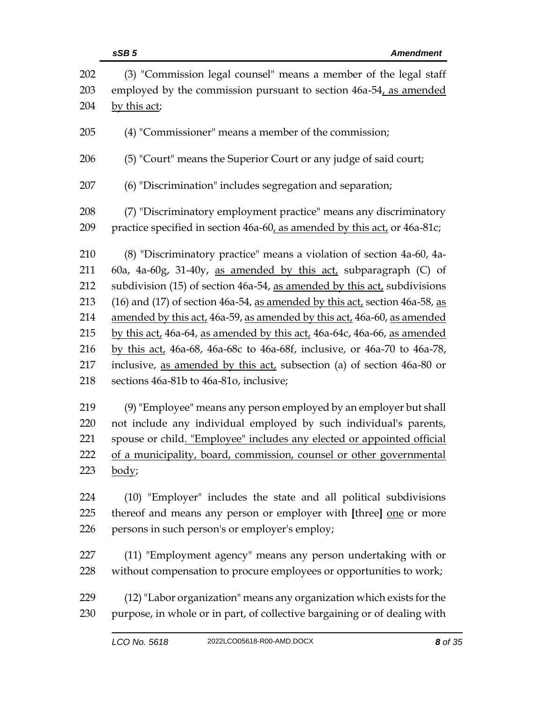|            | sSB <sub>5</sub><br><b>Amendment</b>                                                                                                  |
|------------|---------------------------------------------------------------------------------------------------------------------------------------|
| 202<br>203 | (3) "Commission legal counsel" means a member of the legal staff<br>employed by the commission pursuant to section 46a-54, as amended |
| 204        | by this act;                                                                                                                          |
| 205        | (4) "Commissioner" means a member of the commission;                                                                                  |
| 206        | (5) "Court" means the Superior Court or any judge of said court;                                                                      |
| 207        | (6) "Discrimination" includes segregation and separation;                                                                             |
| 208        | (7) "Discriminatory employment practice" means any discriminatory                                                                     |
| 209        | practice specified in section 46a-60, as amended by this act, or 46a-81c;                                                             |
| 210        | (8) "Discriminatory practice" means a violation of section 4a-60, 4a-                                                                 |
| 211        | 60a, 4a-60g, 31-40y, as amended by this $act$ , subparagraph (C) of                                                                   |
| 212        | subdivision (15) of section 46a-54, as amended by this act, subdivisions                                                              |
| 213        | (16) and (17) of section 46a-54, as amended by this act, section 46a-58, as                                                           |
| 214        | amended by this act, 46a-59, as amended by this act, 46a-60, as amended                                                               |
| 215        | by this act, 46a-64, as amended by this act, 46a-64c, 46a-66, as amended                                                              |
| 216        | by this act, 46a-68, 46a-68c to 46a-68f, inclusive, or 46a-70 to 46a-78,                                                              |
| 217        | inclusive, as amended by this act, subsection (a) of section 46a-80 or                                                                |
| 218        | sections 46a-81b to 46a-81o, inclusive;                                                                                               |
| 219        | (9) "Employee" means any person employed by an employer but shall                                                                     |
| 220        | not include any individual employed by such individual's parents,                                                                     |
| 221        | spouse or child. "Employee" includes any elected or appointed official                                                                |
| 222        | of a municipality, board, commission, counsel or other governmental                                                                   |
| 223        | body;                                                                                                                                 |
| 224        | (10) "Employer" includes the state and all political subdivisions                                                                     |
| 225        | thereof and means any person or employer with [three] one or more                                                                     |
| 226        | persons in such person's or employer's employ;                                                                                        |
| 227        | (11) "Employment agency" means any person undertaking with or                                                                         |
| 228        | without compensation to procure employees or opportunities to work;                                                                   |
| 229        | (12) "Labor organization" means any organization which exists for the                                                                 |
| 230        | purpose, in whole or in part, of collective bargaining or of dealing with                                                             |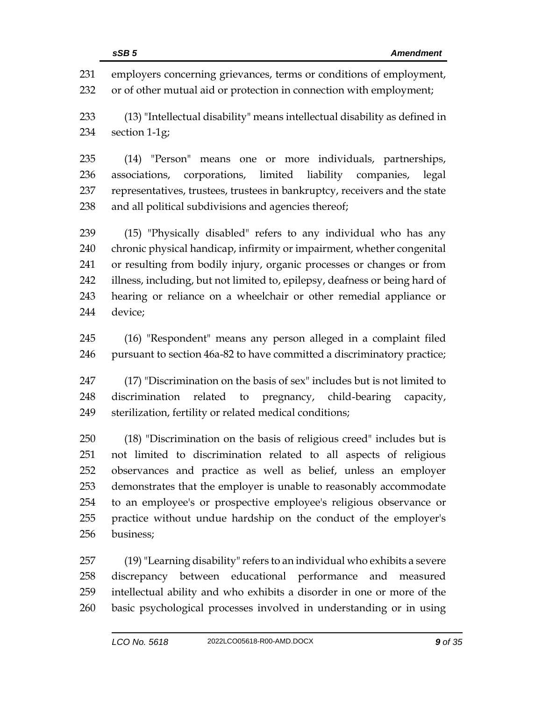employers concerning grievances, terms or conditions of employment, or of other mutual aid or protection in connection with employment; (13) "Intellectual disability" means intellectual disability as defined in section 1-1g; (14) "Person" means one or more individuals, partnerships, associations, corporations, limited liability companies, legal representatives, trustees, trustees in bankruptcy, receivers and the state and all political subdivisions and agencies thereof; (15) "Physically disabled" refers to any individual who has any chronic physical handicap, infirmity or impairment, whether congenital or resulting from bodily injury, organic processes or changes or from illness, including, but not limited to, epilepsy, deafness or being hard of hearing or reliance on a wheelchair or other remedial appliance or device; (16) "Respondent" means any person alleged in a complaint filed pursuant to section 46a-82 to have committed a discriminatory practice; (17) "Discrimination on the basis of sex" includes but is not limited to

 discrimination related to pregnancy, child-bearing capacity, sterilization, fertility or related medical conditions;

 (18) "Discrimination on the basis of religious creed" includes but is not limited to discrimination related to all aspects of religious observances and practice as well as belief, unless an employer demonstrates that the employer is unable to reasonably accommodate to an employee's or prospective employee's religious observance or practice without undue hardship on the conduct of the employer's business;

 (19)"Learning disability" refers to an individual who exhibits a severe discrepancy between educational performance and measured intellectual ability and who exhibits a disorder in one or more of the basic psychological processes involved in understanding or in using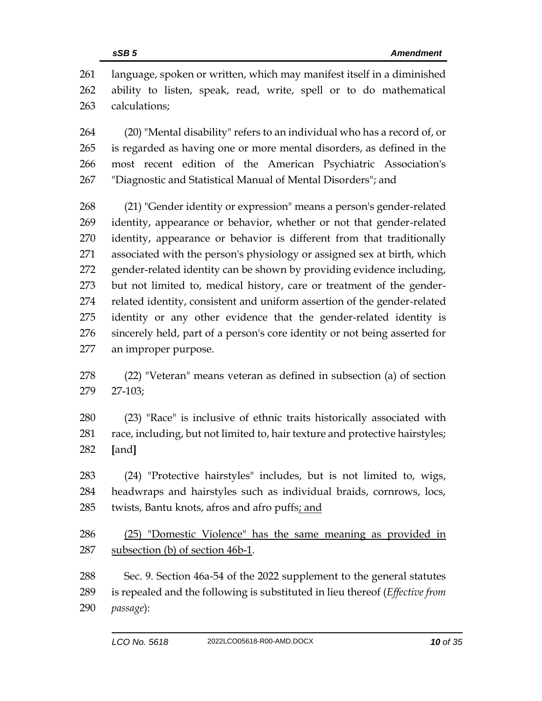language, spoken or written, which may manifest itself in a diminished ability to listen, speak, read, write, spell or to do mathematical calculations;

 (20) "Mental disability" refers to an individual who has a record of, or is regarded as having one or more mental disorders, as defined in the most recent edition of the American Psychiatric Association's "Diagnostic and Statistical Manual of Mental Disorders"; and

 (21) "Gender identity or expression" means a person's gender-related identity, appearance or behavior, whether or not that gender-related identity, appearance or behavior is different from that traditionally associated with the person's physiology or assigned sex at birth, which gender-related identity can be shown by providing evidence including, but not limited to, medical history, care or treatment of the gender- related identity, consistent and uniform assertion of the gender-related identity or any other evidence that the gender-related identity is sincerely held, part of a person's core identity or not being asserted for an improper purpose.

- (22) "Veteran" means veteran as defined in subsection (a) of section 27-103;
- (23) "Race" is inclusive of ethnic traits historically associated with race, including, but not limited to, hair texture and protective hairstyles; **[**and**]**
- (24) "Protective hairstyles" includes, but is not limited to, wigs, headwraps and hairstyles such as individual braids, cornrows, locs, twists, Bantu knots, afros and afro puffs; and
- (25) "Domestic Violence" has the same meaning as provided in subsection (b) of section 46b-1.
- Sec. 9. Section 46a-54 of the 2022 supplement to the general statutes is repealed and the following is substituted in lieu thereof (*Effective from passage*):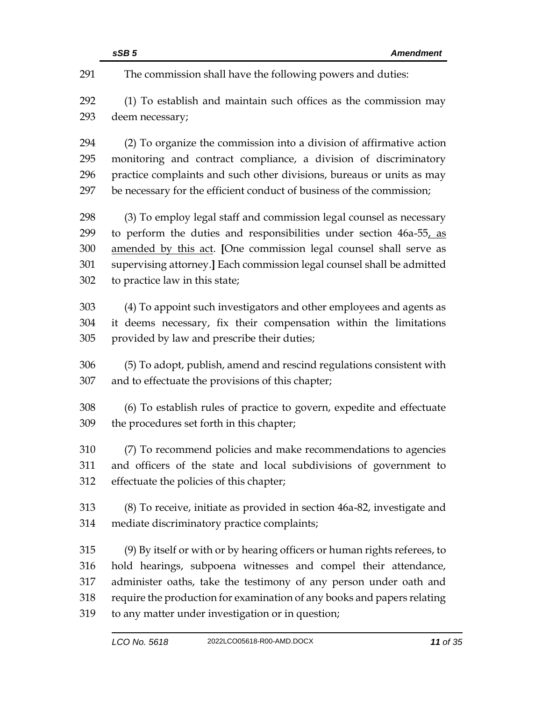|     | sSB <sub>5</sub><br><b>Amendment</b>                                      |
|-----|---------------------------------------------------------------------------|
| 291 | The commission shall have the following powers and duties:                |
| 292 | (1) To establish and maintain such offices as the commission may          |
| 293 | deem necessary;                                                           |
| 294 | (2) To organize the commission into a division of affirmative action      |
| 295 | monitoring and contract compliance, a division of discriminatory          |
| 296 | practice complaints and such other divisions, bureaus or units as may     |
| 297 | be necessary for the efficient conduct of business of the commission;     |
| 298 | (3) To employ legal staff and commission legal counsel as necessary       |
| 299 | to perform the duties and responsibilities under section 46a-55, as       |
| 300 | amended by this act. [One commission legal counsel shall serve as         |
| 301 | supervising attorney.] Each commission legal counsel shall be admitted    |
| 302 | to practice law in this state;                                            |
| 303 | (4) To appoint such investigators and other employees and agents as       |
| 304 | it deems necessary, fix their compensation within the limitations         |
| 305 | provided by law and prescribe their duties;                               |
| 306 | (5) To adopt, publish, amend and rescind regulations consistent with      |
| 307 | and to effectuate the provisions of this chapter;                         |
| 308 | (6) To establish rules of practice to govern, expedite and effectuate     |
| 309 | the procedures set forth in this chapter;                                 |
| 310 | (7) To recommend policies and make recommendations to agencies            |
| 311 | and officers of the state and local subdivisions of government to         |
| 312 | effectuate the policies of this chapter;                                  |
| 313 | (8) To receive, initiate as provided in section 46a-82, investigate and   |
| 314 | mediate discriminatory practice complaints;                               |
| 315 | (9) By itself or with or by hearing officers or human rights referees, to |
| 316 | hold hearings, subpoena witnesses and compel their attendance,            |
| 317 | administer oaths, take the testimony of any person under oath and         |
| 318 | require the production for examination of any books and papers relating   |
| 319 | to any matter under investigation or in question;                         |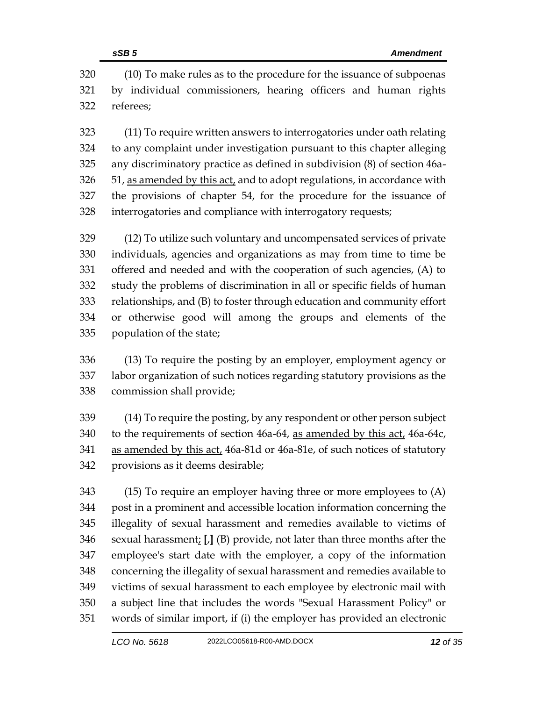(10) To make rules as to the procedure for the issuance of subpoenas by individual commissioners, hearing officers and human rights referees;

 (11) To require written answers to interrogatories under oath relating to any complaint under investigation pursuant to this chapter alleging any discriminatory practice as defined in subdivision (8) of section 46a- 51, as amended by this act, and to adopt regulations, in accordance with the provisions of chapter 54, for the procedure for the issuance of interrogatories and compliance with interrogatory requests;

 (12) To utilize such voluntary and uncompensated services of private individuals, agencies and organizations as may from time to time be offered and needed and with the cooperation of such agencies, (A) to study the problems of discrimination in all or specific fields of human relationships, and (B) to foster through education and community effort or otherwise good will among the groups and elements of the population of the state;

 (13) To require the posting by an employer, employment agency or labor organization of such notices regarding statutory provisions as the commission shall provide;

 (14) To require the posting, by any respondent or other person subject to the requirements of section 46a-64, as amended by this act, 46a-64c, as amended by this act, 46a-81d or 46a-81e, of such notices of statutory provisions as it deems desirable;

 (15) To require an employer having three or more employees to (A) post in a prominent and accessible location information concerning the illegality of sexual harassment and remedies available to victims of sexual harassment; **[**,**]** (B) provide, not later than three months after the employee's start date with the employer, a copy of the information concerning the illegality of sexual harassment and remedies available to victims of sexual harassment to each employee by electronic mail with a subject line that includes the words "Sexual Harassment Policy" or words of similar import, if (i) the employer has provided an electronic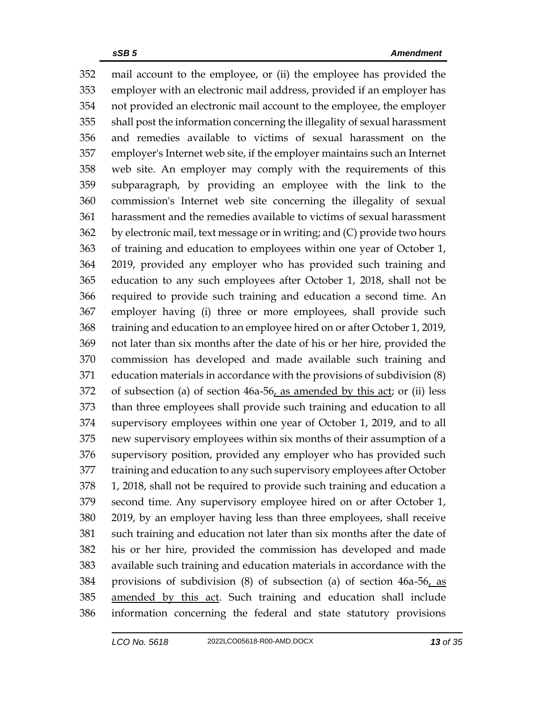mail account to the employee, or (ii) the employee has provided the employer with an electronic mail address, provided if an employer has not provided an electronic mail account to the employee, the employer shall post the information concerning the illegality of sexual harassment and remedies available to victims of sexual harassment on the employer's Internet web site, if the employer maintains such an Internet web site. An employer may comply with the requirements of this subparagraph, by providing an employee with the link to the commission's Internet web site concerning the illegality of sexual harassment and the remedies available to victims of sexual harassment by electronic mail, text message or in writing; and (C) provide two hours of training and education to employees within one year of October 1, 2019, provided any employer who has provided such training and education to any such employees after October 1, 2018, shall not be required to provide such training and education a second time. An employer having (i) three or more employees, shall provide such training and education to an employee hired on or after October 1, 2019, not later than six months after the date of his or her hire, provided the commission has developed and made available such training and education materials in accordance with the provisions of subdivision (8) of subsection (a) of section 46a-56, as amended by this act; or (ii) less than three employees shall provide such training and education to all supervisory employees within one year of October 1, 2019, and to all new supervisory employees within six months of their assumption of a supervisory position, provided any employer who has provided such training and education to any such supervisory employees after October 1, 2018, shall not be required to provide such training and education a second time. Any supervisory employee hired on or after October 1, 2019, by an employer having less than three employees, shall receive such training and education not later than six months after the date of his or her hire, provided the commission has developed and made available such training and education materials in accordance with the provisions of subdivision (8) of subsection (a) of section 46a-56, as amended by this act. Such training and education shall include information concerning the federal and state statutory provisions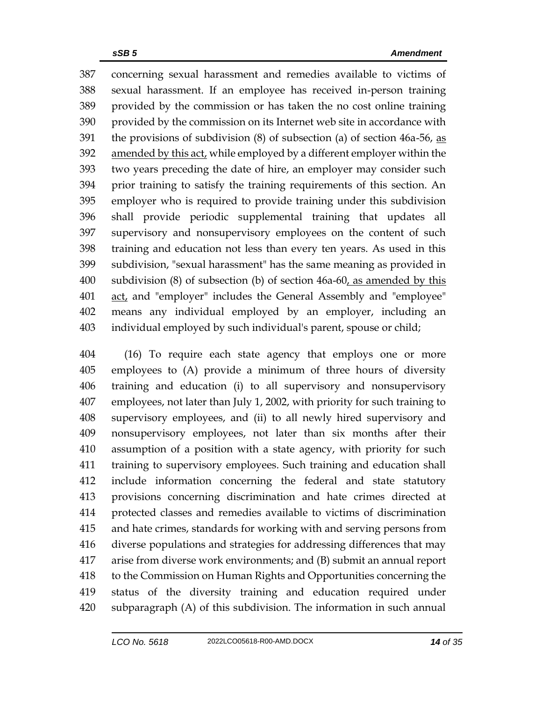concerning sexual harassment and remedies available to victims of sexual harassment. If an employee has received in-person training provided by the commission or has taken the no cost online training provided by the commission on its Internet web site in accordance with 391 the provisions of subdivision  $(8)$  of subsection  $(a)$  of section 46a-56, as amended by this act, while employed by a different employer within the two years preceding the date of hire, an employer may consider such prior training to satisfy the training requirements of this section. An employer who is required to provide training under this subdivision shall provide periodic supplemental training that updates all supervisory and nonsupervisory employees on the content of such training and education not less than every ten years. As used in this subdivision, "sexual harassment" has the same meaning as provided in 400 subdivision (8) of subsection (b) of section 46a-60, as amended by this 401 act, and "employer" includes the General Assembly and "employee" means any individual employed by an employer, including an individual employed by such individual's parent, spouse or child;

 (16) To require each state agency that employs one or more employees to (A) provide a minimum of three hours of diversity training and education (i) to all supervisory and nonsupervisory employees, not later than July 1, 2002, with priority for such training to supervisory employees, and (ii) to all newly hired supervisory and nonsupervisory employees, not later than six months after their assumption of a position with a state agency, with priority for such training to supervisory employees. Such training and education shall include information concerning the federal and state statutory provisions concerning discrimination and hate crimes directed at protected classes and remedies available to victims of discrimination and hate crimes, standards for working with and serving persons from diverse populations and strategies for addressing differences that may arise from diverse work environments; and (B) submit an annual report to the Commission on Human Rights and Opportunities concerning the status of the diversity training and education required under subparagraph (A) of this subdivision. The information in such annual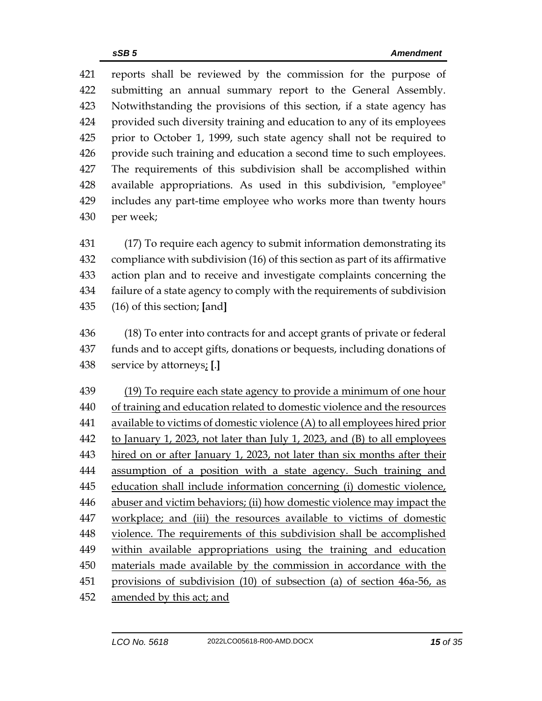reports shall be reviewed by the commission for the purpose of submitting an annual summary report to the General Assembly. Notwithstanding the provisions of this section, if a state agency has provided such diversity training and education to any of its employees prior to October 1, 1999, such state agency shall not be required to provide such training and education a second time to such employees. The requirements of this subdivision shall be accomplished within available appropriations. As used in this subdivision, "employee" includes any part-time employee who works more than twenty hours per week;

 (17) To require each agency to submit information demonstrating its compliance with subdivision (16) of this section as part of its affirmative action plan and to receive and investigate complaints concerning the failure of a state agency to comply with the requirements of subdivision (16) of this section; **[**and**]**

 (18) To enter into contracts for and accept grants of private or federal funds and to accept gifts, donations or bequests, including donations of service by attorneys; **[**.**]**

 (19) To require each state agency to provide a minimum of one hour of training and education related to domestic violence and the resources available to victims of domestic violence (A) to all employees hired prior to January 1, 2023, not later than July 1, 2023, and (B) to all employees hired on or after January 1, 2023, not later than six months after their assumption of a position with a state agency. Such training and 445 education shall include information concerning (i) domestic violence, abuser and victim behaviors; (ii) how domestic violence may impact the workplace; and (iii) the resources available to victims of domestic violence. The requirements of this subdivision shall be accomplished within available appropriations using the training and education materials made available by the commission in accordance with the provisions of subdivision (10) of subsection (a) of section 46a-56, as amended by this act; and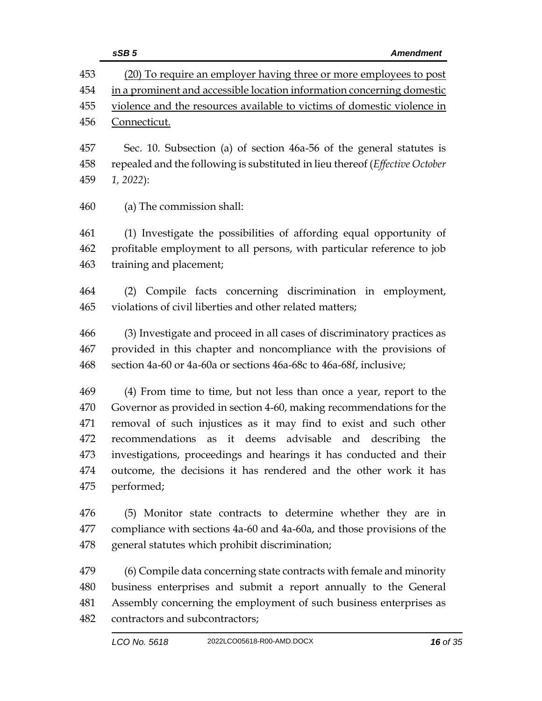|     | sSB <sub>5</sub><br><b>Amendment</b>                                         |
|-----|------------------------------------------------------------------------------|
| 453 | (20) To require an employer having three or more employees to post           |
| 454 | in a prominent and accessible location information concerning domestic       |
| 455 | violence and the resources available to victims of domestic violence in      |
| 456 | Connecticut.                                                                 |
| 457 | Sec. 10. Subsection (a) of section 46a-56 of the general statutes is         |
| 458 | repealed and the following is substituted in lieu thereof (Effective October |
| 459 | $1, 2022$ :                                                                  |
|     |                                                                              |
| 460 | (a) The commission shall:                                                    |
| 461 | (1) Investigate the possibilities of affording equal opportunity of          |
| 462 | profitable employment to all persons, with particular reference to job       |
| 463 | training and placement;                                                      |
| 464 | (2) Compile facts concerning discrimination in employment,                   |
| 465 | violations of civil liberties and other related matters;                     |
|     |                                                                              |
| 466 | (3) Investigate and proceed in all cases of discriminatory practices as      |
| 467 | provided in this chapter and noncompliance with the provisions of            |
| 468 | section 4a-60 or 4a-60a or sections 46a-68c to 46a-68f, inclusive;           |
| 469 | (4) From time to time, but not less than once a year, report to the          |
| 470 | Governor as provided in section 4-60, making recommendations for the         |
| 471 | removal of such injustices as it may find to exist and such other            |
| 472 | it deems advisable<br>recommendations as<br>and describing<br>the            |
| 473 | investigations, proceedings and hearings it has conducted and their          |
| 474 | outcome, the decisions it has rendered and the other work it has             |
| 475 | performed;                                                                   |
| 476 | (5) Monitor state contracts to determine whether they are in                 |
| 477 | compliance with sections 4a-60 and 4a-60a, and those provisions of the       |
| 478 | general statutes which prohibit discrimination;                              |
| 479 | (6) Compile data concerning state contracts with female and minority         |
| 480 | business enterprises and submit a report annually to the General             |
| 481 | Assembly concerning the employment of such business enterprises as           |
| 482 | contractors and subcontractors;                                              |
|     |                                                                              |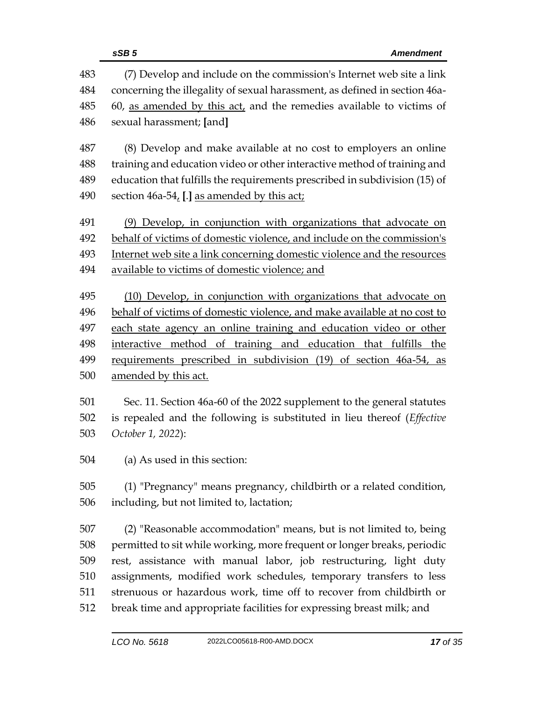|     | sSB <sub>5</sub><br><b>Amendment</b>                                       |  |  |
|-----|----------------------------------------------------------------------------|--|--|
| 483 | (7) Develop and include on the commission's Internet web site a link       |  |  |
| 484 | concerning the illegality of sexual harassment, as defined in section 46a- |  |  |
| 485 | 60, as amended by this act, and the remedies available to victims of       |  |  |
| 486 | sexual harassment; [and]                                                   |  |  |
| 487 | (8) Develop and make available at no cost to employers an online           |  |  |
| 488 | training and education video or other interactive method of training and   |  |  |
| 489 | education that fulfills the requirements prescribed in subdivision (15) of |  |  |
| 490 | section 46a-54, [.] as amended by this act;                                |  |  |
| 491 | (9) Develop, in conjunction with organizations that advocate on            |  |  |
| 492 | behalf of victims of domestic violence, and include on the commission's    |  |  |
| 493 | Internet web site a link concerning domestic violence and the resources    |  |  |
| 494 | available to victims of domestic violence; and                             |  |  |
| 495 | (10) Develop, in conjunction with organizations that advocate on           |  |  |
| 496 | behalf of victims of domestic violence, and make available at no cost to   |  |  |
| 497 | each state agency an online training and education video or other          |  |  |
| 498 | interactive method of training and education that fulfills the             |  |  |
| 499 | requirements prescribed in subdivision (19) of section 46a-54, as          |  |  |
| 500 | amended by this act.                                                       |  |  |
| 501 | Sec. 11. Section 46a-60 of the 2022 supplement to the general statutes     |  |  |
| 502 | is repealed and the following is substituted in lieu thereof (Effective    |  |  |
| 503 | October 1, 2022):                                                          |  |  |
| 504 | (a) As used in this section:                                               |  |  |
| 505 | (1) "Pregnancy" means pregnancy, childbirth or a related condition,        |  |  |
| 506 | including, but not limited to, lactation;                                  |  |  |
| 507 | (2) "Reasonable accommodation" means, but is not limited to, being         |  |  |
| 508 | permitted to sit while working, more frequent or longer breaks, periodic   |  |  |
| 509 | rest, assistance with manual labor, job restructuring, light duty          |  |  |
| 510 | assignments, modified work schedules, temporary transfers to less          |  |  |
| 511 | strenuous or hazardous work, time off to recover from childbirth or        |  |  |
| 512 | break time and appropriate facilities for expressing breast milk; and      |  |  |
|     |                                                                            |  |  |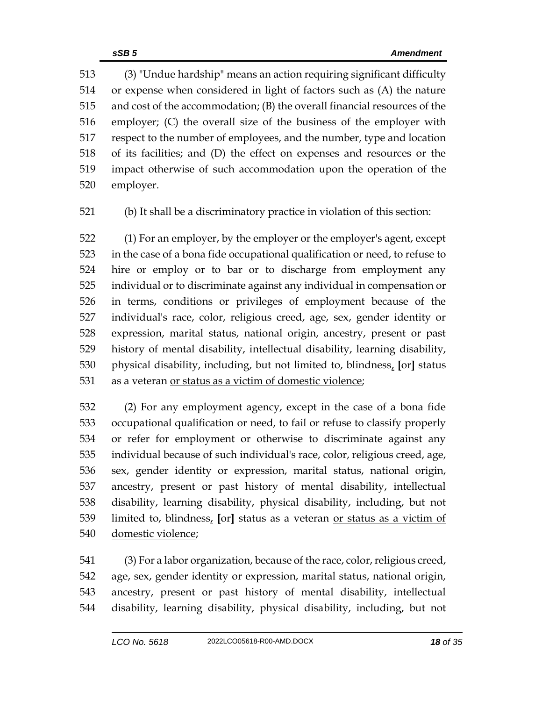(3) "Undue hardship" means an action requiring significant difficulty or expense when considered in light of factors such as (A) the nature and cost of the accommodation; (B) the overall financial resources of the employer; (C) the overall size of the business of the employer with respect to the number of employees, and the number, type and location of its facilities; and (D) the effect on expenses and resources or the impact otherwise of such accommodation upon the operation of the employer.

(b) It shall be a discriminatory practice in violation of this section:

 (1) For an employer, by the employer or the employer's agent, except in the case of a bona fide occupational qualification or need, to refuse to hire or employ or to bar or to discharge from employment any individual or to discriminate against any individual in compensation or in terms, conditions or privileges of employment because of the individual's race, color, religious creed, age, sex, gender identity or expression, marital status, national origin, ancestry, present or past history of mental disability, intellectual disability, learning disability, physical disability, including, but not limited to, blindness, **[**or**]** status as a veteran or status as a victim of domestic violence;

 (2) For any employment agency, except in the case of a bona fide occupational qualification or need, to fail or refuse to classify properly or refer for employment or otherwise to discriminate against any individual because of such individual's race, color, religious creed, age, sex, gender identity or expression, marital status, national origin, ancestry, present or past history of mental disability, intellectual disability, learning disability, physical disability, including, but not limited to, blindness, **[**or**]** status as a veteran or status as a victim of domestic violence;

 (3) For a labor organization, because of the race, color, religious creed, age, sex, gender identity or expression, marital status, national origin, ancestry, present or past history of mental disability, intellectual disability, learning disability, physical disability, including, but not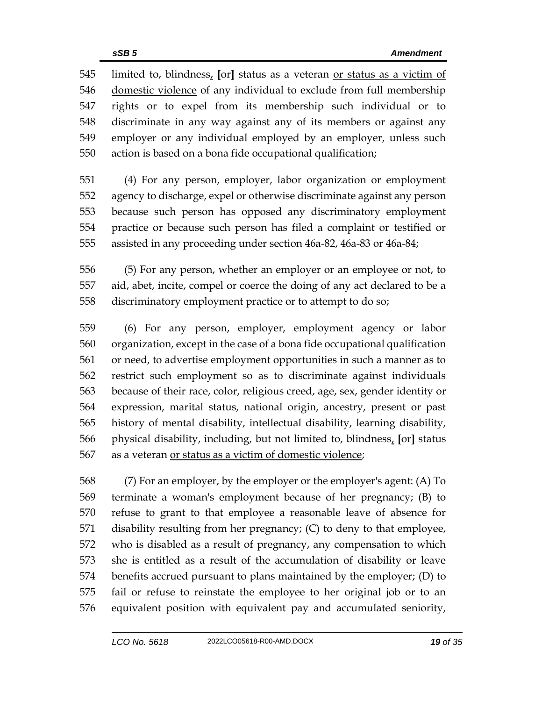limited to, blindness, **[**or**]** status as a veteran or status as a victim of domestic violence of any individual to exclude from full membership rights or to expel from its membership such individual or to discriminate in any way against any of its members or against any employer or any individual employed by an employer, unless such action is based on a bona fide occupational qualification;

 (4) For any person, employer, labor organization or employment agency to discharge, expel or otherwise discriminate against any person because such person has opposed any discriminatory employment practice or because such person has filed a complaint or testified or assisted in any proceeding under section 46a-82, 46a-83 or 46a-84;

 (5) For any person, whether an employer or an employee or not, to aid, abet, incite, compel or coerce the doing of any act declared to be a discriminatory employment practice or to attempt to do so;

 (6) For any person, employer, employment agency or labor organization, except in the case of a bona fide occupational qualification or need, to advertise employment opportunities in such a manner as to restrict such employment so as to discriminate against individuals because of their race, color, religious creed, age, sex, gender identity or expression, marital status, national origin, ancestry, present or past history of mental disability, intellectual disability, learning disability, physical disability, including, but not limited to, blindness, **[**or**]** status as a veteran or status as a victim of domestic violence;

 (7) For an employer, by the employer or the employer's agent: (A) To terminate a woman's employment because of her pregnancy; (B) to refuse to grant to that employee a reasonable leave of absence for disability resulting from her pregnancy; (C) to deny to that employee, who is disabled as a result of pregnancy, any compensation to which she is entitled as a result of the accumulation of disability or leave benefits accrued pursuant to plans maintained by the employer; (D) to fail or refuse to reinstate the employee to her original job or to an equivalent position with equivalent pay and accumulated seniority,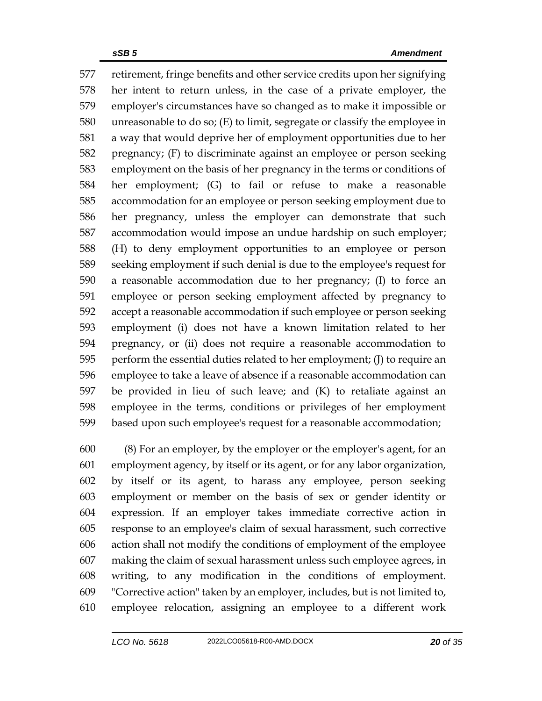retirement, fringe benefits and other service credits upon her signifying her intent to return unless, in the case of a private employer, the employer's circumstances have so changed as to make it impossible or unreasonable to do so; (E) to limit, segregate or classify the employee in a way that would deprive her of employment opportunities due to her pregnancy; (F) to discriminate against an employee or person seeking employment on the basis of her pregnancy in the terms or conditions of her employment; (G) to fail or refuse to make a reasonable accommodation for an employee or person seeking employment due to her pregnancy, unless the employer can demonstrate that such accommodation would impose an undue hardship on such employer; (H) to deny employment opportunities to an employee or person seeking employment if such denial is due to the employee's request for a reasonable accommodation due to her pregnancy; (I) to force an employee or person seeking employment affected by pregnancy to accept a reasonable accommodation if such employee or person seeking employment (i) does not have a known limitation related to her pregnancy, or (ii) does not require a reasonable accommodation to perform the essential duties related to her employment; (J) to require an employee to take a leave of absence if a reasonable accommodation can be provided in lieu of such leave; and (K) to retaliate against an employee in the terms, conditions or privileges of her employment based upon such employee's request for a reasonable accommodation;

 (8) For an employer, by the employer or the employer's agent, for an employment agency, by itself or its agent, or for any labor organization, by itself or its agent, to harass any employee, person seeking employment or member on the basis of sex or gender identity or expression. If an employer takes immediate corrective action in response to an employee's claim of sexual harassment, such corrective action shall not modify the conditions of employment of the employee making the claim of sexual harassment unless such employee agrees, in writing, to any modification in the conditions of employment. "Corrective action" taken by an employer, includes, but is not limited to, employee relocation, assigning an employee to a different work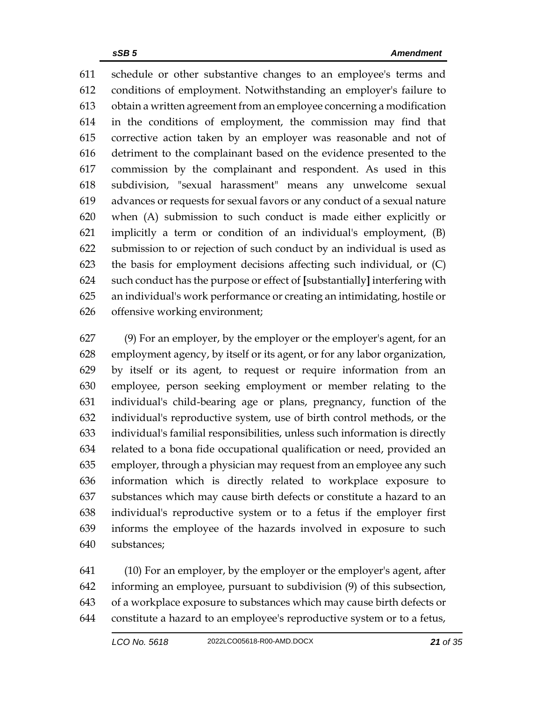schedule or other substantive changes to an employee's terms and conditions of employment. Notwithstanding an employer's failure to obtain a written agreement from an employee concerning a modification in the conditions of employment, the commission may find that corrective action taken by an employer was reasonable and not of detriment to the complainant based on the evidence presented to the commission by the complainant and respondent. As used in this subdivision, "sexual harassment" means any unwelcome sexual advances or requests for sexual favors or any conduct of a sexual nature when (A) submission to such conduct is made either explicitly or implicitly a term or condition of an individual's employment, (B) submission to or rejection of such conduct by an individual is used as the basis for employment decisions affecting such individual, or (C) such conduct has the purpose or effect of **[**substantially**]** interfering with an individual's work performance or creating an intimidating, hostile or offensive working environment;

 (9) For an employer, by the employer or the employer's agent, for an employment agency, by itself or its agent, or for any labor organization, by itself or its agent, to request or require information from an employee, person seeking employment or member relating to the individual's child-bearing age or plans, pregnancy, function of the individual's reproductive system, use of birth control methods, or the individual's familial responsibilities, unless such information is directly related to a bona fide occupational qualification or need, provided an employer, through a physician may request from an employee any such information which is directly related to workplace exposure to substances which may cause birth defects or constitute a hazard to an individual's reproductive system or to a fetus if the employer first informs the employee of the hazards involved in exposure to such substances;

 (10) For an employer, by the employer or the employer's agent, after informing an employee, pursuant to subdivision (9) of this subsection, of a workplace exposure to substances which may cause birth defects or constitute a hazard to an employee's reproductive system or to a fetus,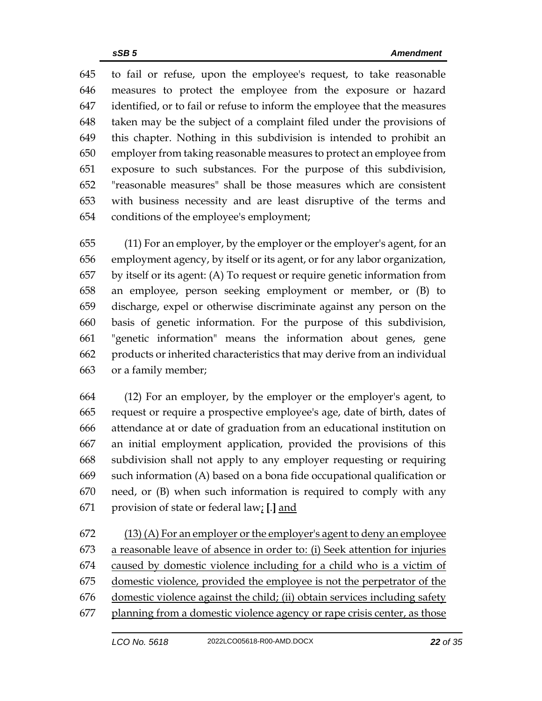to fail or refuse, upon the employee's request, to take reasonable measures to protect the employee from the exposure or hazard identified, or to fail or refuse to inform the employee that the measures taken may be the subject of a complaint filed under the provisions of this chapter. Nothing in this subdivision is intended to prohibit an employer from taking reasonable measures to protect an employee from exposure to such substances. For the purpose of this subdivision, "reasonable measures" shall be those measures which are consistent with business necessity and are least disruptive of the terms and conditions of the employee's employment;

 (11) For an employer, by the employer or the employer's agent, for an employment agency, by itself or its agent, or for any labor organization, by itself or its agent: (A) To request or require genetic information from an employee, person seeking employment or member, or (B) to discharge, expel or otherwise discriminate against any person on the basis of genetic information. For the purpose of this subdivision, "genetic information" means the information about genes, gene products or inherited characteristics that may derive from an individual or a family member;

 (12) For an employer, by the employer or the employer's agent, to request or require a prospective employee's age, date of birth, dates of attendance at or date of graduation from an educational institution on an initial employment application, provided the provisions of this subdivision shall not apply to any employer requesting or requiring such information (A) based on a bona fide occupational qualification or need, or (B) when such information is required to comply with any provision of state or federal law; **[**.**]** and

 $(13)$  (A) For an employer or the employer's agent to deny an employee a reasonable leave of absence in order to: (i) Seek attention for injuries caused by domestic violence including for a child who is a victim of domestic violence, provided the employee is not the perpetrator of the domestic violence against the child; (ii) obtain services including safety planning from a domestic violence agency or rape crisis center, as those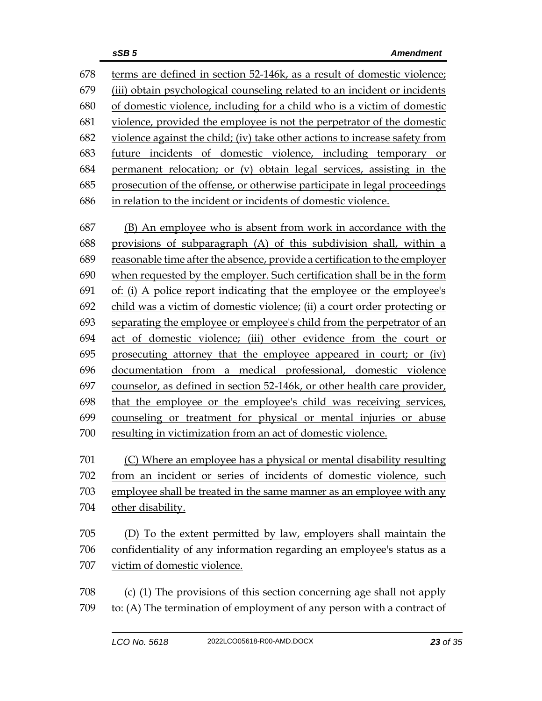terms are defined in section 52-146k, as a result of domestic violence; (iii) obtain psychological counseling related to an incident or incidents of domestic violence, including for a child who is a victim of domestic violence, provided the employee is not the perpetrator of the domestic violence against the child; (iv) take other actions to increase safety from future incidents of domestic violence, including temporary or permanent relocation; or (v) obtain legal services, assisting in the prosecution of the offense, or otherwise participate in legal proceedings in relation to the incident or incidents of domestic violence.

 (B) An employee who is absent from work in accordance with the provisions of subparagraph (A) of this subdivision shall, within a reasonable time after the absence, provide a certification to the employer when requested by the employer. Such certification shall be in the form of: (i) A police report indicating that the employee or the employee's child was a victim of domestic violence; (ii) a court order protecting or separating the employee or employee's child from the perpetrator of an act of domestic violence; (iii) other evidence from the court or prosecuting attorney that the employee appeared in court; or (iv) documentation from a medical professional, domestic violence counselor, as defined in section 52-146k, or other health care provider, that the employee or the employee's child was receiving services, counseling or treatment for physical or mental injuries or abuse resulting in victimization from an act of domestic violence.

(C) Where an employee has a physical or mental disability resulting

 from an incident or series of incidents of domestic violence, such employee shall be treated in the same manner as an employee with any other disability.

 (D) To the extent permitted by law, employers shall maintain the confidentiality of any information regarding an employee's status as a victim of domestic violence.

 (c) (1) The provisions of this section concerning age shall not apply to: (A) The termination of employment of any person with a contract of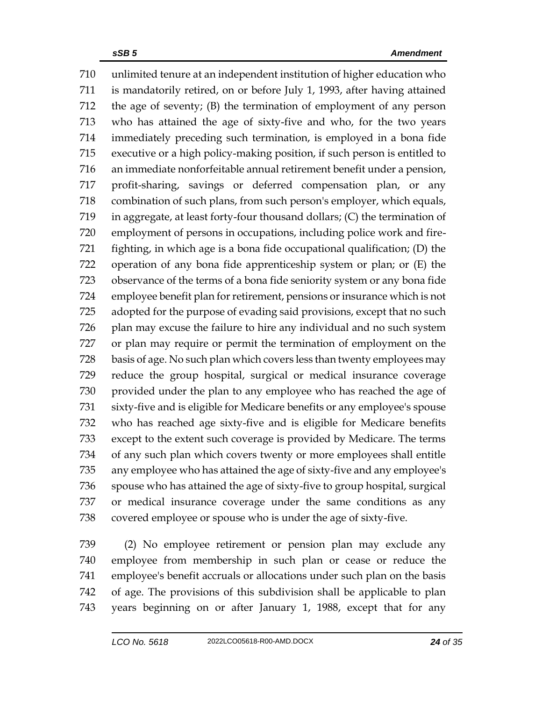unlimited tenure at an independent institution of higher education who is mandatorily retired, on or before July 1, 1993, after having attained the age of seventy; (B) the termination of employment of any person who has attained the age of sixty-five and who, for the two years immediately preceding such termination, is employed in a bona fide executive or a high policy-making position, if such person is entitled to an immediate nonforfeitable annual retirement benefit under a pension, profit-sharing, savings or deferred compensation plan, or any combination of such plans, from such person's employer, which equals, in aggregate, at least forty-four thousand dollars; (C) the termination of employment of persons in occupations, including police work and fire- fighting, in which age is a bona fide occupational qualification; (D) the operation of any bona fide apprenticeship system or plan; or (E) the observance of the terms of a bona fide seniority system or any bona fide employee benefit plan for retirement, pensions or insurance which is not adopted for the purpose of evading said provisions, except that no such plan may excuse the failure to hire any individual and no such system or plan may require or permit the termination of employment on the basis of age. No such plan which covers less than twenty employees may reduce the group hospital, surgical or medical insurance coverage provided under the plan to any employee who has reached the age of sixty-five and is eligible for Medicare benefits or any employee's spouse who has reached age sixty-five and is eligible for Medicare benefits except to the extent such coverage is provided by Medicare. The terms of any such plan which covers twenty or more employees shall entitle any employee who has attained the age of sixty-five and any employee's spouse who has attained the age of sixty-five to group hospital, surgical or medical insurance coverage under the same conditions as any covered employee or spouse who is under the age of sixty-five.

 (2) No employee retirement or pension plan may exclude any employee from membership in such plan or cease or reduce the employee's benefit accruals or allocations under such plan on the basis of age. The provisions of this subdivision shall be applicable to plan years beginning on or after January 1, 1988, except that for any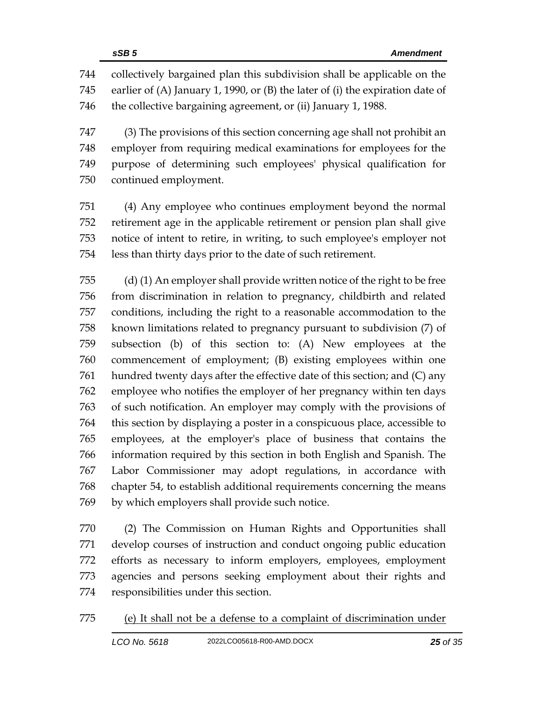collectively bargained plan this subdivision shall be applicable on the earlier of (A) January 1, 1990, or (B) the later of (i) the expiration date of the collective bargaining agreement, or (ii) January 1, 1988.

 (3) The provisions of this section concerning age shall not prohibit an employer from requiring medical examinations for employees for the purpose of determining such employees' physical qualification for continued employment.

 (4) Any employee who continues employment beyond the normal retirement age in the applicable retirement or pension plan shall give notice of intent to retire, in writing, to such employee's employer not less than thirty days prior to the date of such retirement.

 (d) (1) An employer shall provide written notice of the right to be free from discrimination in relation to pregnancy, childbirth and related conditions, including the right to a reasonable accommodation to the known limitations related to pregnancy pursuant to subdivision (7) of subsection (b) of this section to: (A) New employees at the commencement of employment; (B) existing employees within one hundred twenty days after the effective date of this section; and (C) any employee who notifies the employer of her pregnancy within ten days of such notification. An employer may comply with the provisions of this section by displaying a poster in a conspicuous place, accessible to employees, at the employer's place of business that contains the information required by this section in both English and Spanish. The Labor Commissioner may adopt regulations, in accordance with chapter 54, to establish additional requirements concerning the means by which employers shall provide such notice.

 (2) The Commission on Human Rights and Opportunities shall develop courses of instruction and conduct ongoing public education efforts as necessary to inform employers, employees, employment agencies and persons seeking employment about their rights and responsibilities under this section.

(e) It shall not be a defense to a complaint of discrimination under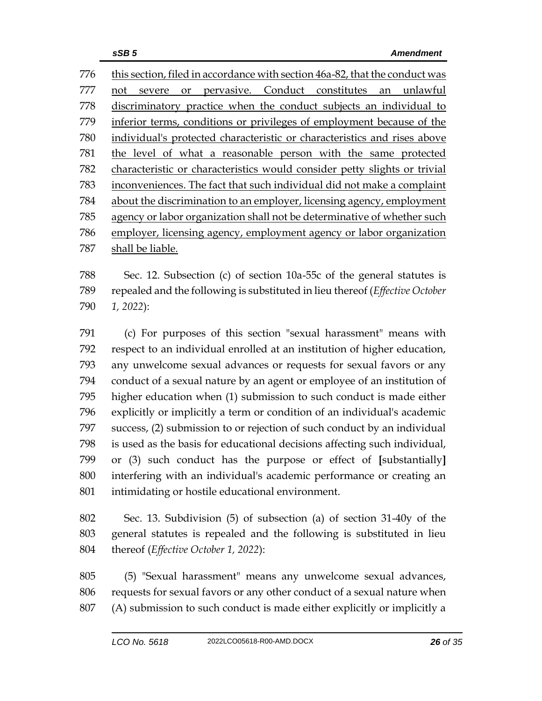this section, filed in accordance with section 46a-82, that the conduct was not severe or pervasive. Conduct constitutes an unlawful discriminatory practice when the conduct subjects an individual to inferior terms, conditions or privileges of employment because of the individual's protected characteristic or characteristics and rises above the level of what a reasonable person with the same protected characteristic or characteristics would consider petty slights or trivial inconveniences. The fact that such individual did not make a complaint about the discrimination to an employer, licensing agency, employment agency or labor organization shall not be determinative of whether such employer, licensing agency, employment agency or labor organization shall be liable.

 Sec. 12. Subsection (c) of section 10a-55c of the general statutes is repealed and the following is substituted in lieu thereof (*Effective October 1, 2022*):

 (c) For purposes of this section "sexual harassment" means with respect to an individual enrolled at an institution of higher education, any unwelcome sexual advances or requests for sexual favors or any conduct of a sexual nature by an agent or employee of an institution of higher education when (1) submission to such conduct is made either explicitly or implicitly a term or condition of an individual's academic success, (2) submission to or rejection of such conduct by an individual is used as the basis for educational decisions affecting such individual, or (3) such conduct has the purpose or effect of **[**substantially**]** interfering with an individual's academic performance or creating an intimidating or hostile educational environment.

 Sec. 13. Subdivision (5) of subsection (a) of section 31-40y of the general statutes is repealed and the following is substituted in lieu thereof (*Effective October 1, 2022*):

 (5) "Sexual harassment" means any unwelcome sexual advances, requests for sexual favors or any other conduct of a sexual nature when (A) submission to such conduct is made either explicitly or implicitly a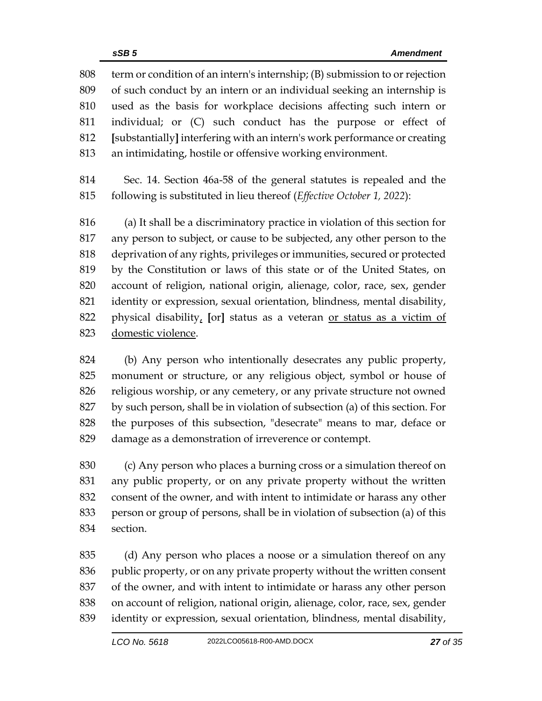term or condition of an intern's internship; (B) submission to or rejection of such conduct by an intern or an individual seeking an internship is used as the basis for workplace decisions affecting such intern or individual; or (C) such conduct has the purpose or effect of **[**substantially**]** interfering with an intern's work performance or creating an intimidating, hostile or offensive working environment.

 Sec. 14. Section 46a-58 of the general statutes is repealed and the following is substituted in lieu thereof (*Effective October 1, 2022*):

 (a) It shall be a discriminatory practice in violation of this section for any person to subject, or cause to be subjected, any other person to the deprivation of any rights, privileges or immunities, secured or protected by the Constitution or laws of this state or of the United States, on account of religion, national origin, alienage, color, race, sex, gender identity or expression, sexual orientation, blindness, mental disability, physical disability, **[**or**]** status as a veteran or status as a victim of domestic violence.

 (b) Any person who intentionally desecrates any public property, monument or structure, or any religious object, symbol or house of religious worship, or any cemetery, or any private structure not owned by such person, shall be in violation of subsection (a) of this section. For the purposes of this subsection, "desecrate" means to mar, deface or damage as a demonstration of irreverence or contempt.

 (c) Any person who places a burning cross or a simulation thereof on any public property, or on any private property without the written consent of the owner, and with intent to intimidate or harass any other person or group of persons, shall be in violation of subsection (a) of this section.

 (d) Any person who places a noose or a simulation thereof on any public property, or on any private property without the written consent of the owner, and with intent to intimidate or harass any other person on account of religion, national origin, alienage, color, race, sex, gender identity or expression, sexual orientation, blindness, mental disability,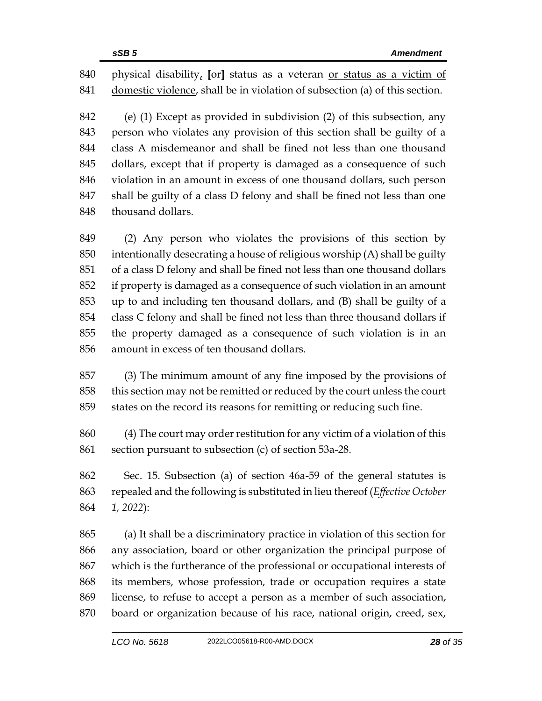physical disability, **[**or**]** status as a veteran or status as a victim of domestic violence, shall be in violation of subsection (a) of this section.

 (e) (1) Except as provided in subdivision (2) of this subsection, any person who violates any provision of this section shall be guilty of a class A misdemeanor and shall be fined not less than one thousand dollars, except that if property is damaged as a consequence of such violation in an amount in excess of one thousand dollars, such person shall be guilty of a class D felony and shall be fined not less than one thousand dollars.

 (2) Any person who violates the provisions of this section by intentionally desecrating a house of religious worship (A) shall be guilty of a class D felony and shall be fined not less than one thousand dollars if property is damaged as a consequence of such violation in an amount up to and including ten thousand dollars, and (B) shall be guilty of a class C felony and shall be fined not less than three thousand dollars if the property damaged as a consequence of such violation is in an amount in excess of ten thousand dollars.

 (3) The minimum amount of any fine imposed by the provisions of this section may not be remitted or reduced by the court unless the court states on the record its reasons for remitting or reducing such fine.

 (4) The court may order restitution for any victim of a violation of this section pursuant to subsection (c) of section 53a-28.

 Sec. 15. Subsection (a) of section 46a-59 of the general statutes is repealed and the following is substituted in lieu thereof (*Effective October 1, 2022*):

 (a) It shall be a discriminatory practice in violation of this section for any association, board or other organization the principal purpose of which is the furtherance of the professional or occupational interests of its members, whose profession, trade or occupation requires a state license, to refuse to accept a person as a member of such association, board or organization because of his race, national origin, creed, sex,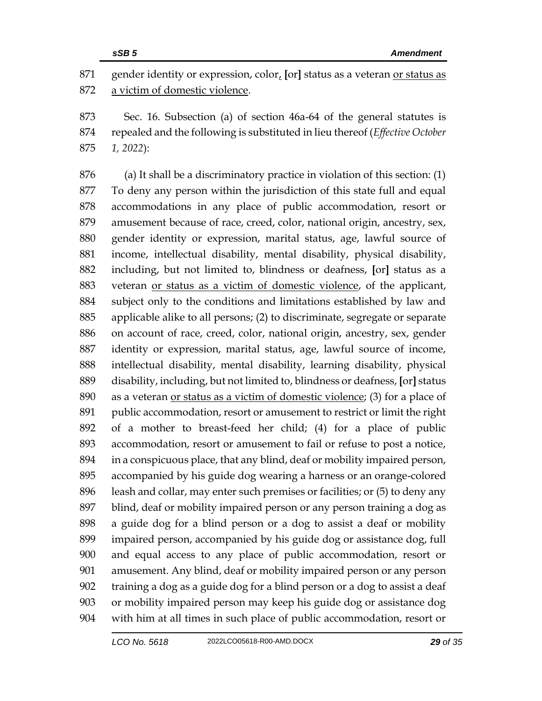gender identity or expression, color, **[**or**]** status as a veteran or status as a victim of domestic violence.

 Sec. 16. Subsection (a) of section 46a-64 of the general statutes is repealed and the following is substituted in lieu thereof (*Effective October 1, 2022*):

 (a) It shall be a discriminatory practice in violation of this section: (1) To deny any person within the jurisdiction of this state full and equal accommodations in any place of public accommodation, resort or amusement because of race, creed, color, national origin, ancestry, sex, gender identity or expression, marital status, age, lawful source of income, intellectual disability, mental disability, physical disability, including, but not limited to, blindness or deafness, **[**or**]** status as a veteran or status as a victim of domestic violence, of the applicant, subject only to the conditions and limitations established by law and applicable alike to all persons; (2) to discriminate, segregate or separate on account of race, creed, color, national origin, ancestry, sex, gender identity or expression, marital status, age, lawful source of income, intellectual disability, mental disability, learning disability, physical disability, including, but not limited to, blindness or deafness, **[**or**]** status as a veteran or status as a victim of domestic violence; (3) for a place of public accommodation, resort or amusement to restrict or limit the right of a mother to breast-feed her child; (4) for a place of public accommodation, resort or amusement to fail or refuse to post a notice, in a conspicuous place, that any blind, deaf or mobility impaired person, accompanied by his guide dog wearing a harness or an orange-colored leash and collar, may enter such premises or facilities; or (5) to deny any blind, deaf or mobility impaired person or any person training a dog as a guide dog for a blind person or a dog to assist a deaf or mobility impaired person, accompanied by his guide dog or assistance dog, full and equal access to any place of public accommodation, resort or amusement. Any blind, deaf or mobility impaired person or any person training a dog as a guide dog for a blind person or a dog to assist a deaf or mobility impaired person may keep his guide dog or assistance dog with him at all times in such place of public accommodation, resort or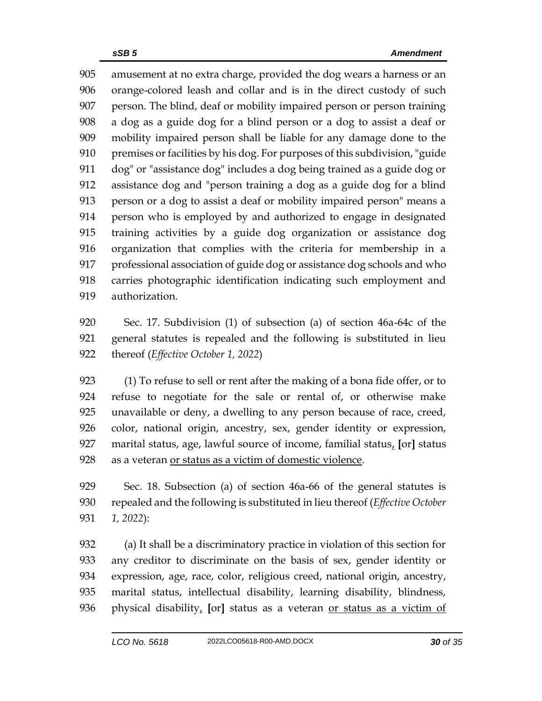*sSB 5 Amendment*  amusement at no extra charge, provided the dog wears a harness or an orange-colored leash and collar and is in the direct custody of such person. The blind, deaf or mobility impaired person or person training a dog as a guide dog for a blind person or a dog to assist a deaf or mobility impaired person shall be liable for any damage done to the premises or facilities by his dog. For purposes of this subdivision, "guide

 dog" or "assistance dog" includes a dog being trained as a guide dog or assistance dog and "person training a dog as a guide dog for a blind person or a dog to assist a deaf or mobility impaired person" means a person who is employed by and authorized to engage in designated training activities by a guide dog organization or assistance dog organization that complies with the criteria for membership in a professional association of guide dog or assistance dog schools and who carries photographic identification indicating such employment and authorization.

 Sec. 17. Subdivision (1) of subsection (a) of section 46a-64c of the general statutes is repealed and the following is substituted in lieu thereof (*Effective October 1, 2022*)

 (1) To refuse to sell or rent after the making of a bona fide offer, or to refuse to negotiate for the sale or rental of, or otherwise make unavailable or deny, a dwelling to any person because of race, creed, color, national origin, ancestry, sex, gender identity or expression, marital status, age, lawful source of income, familial status, **[**or**]** status as a veteran or status as a victim of domestic violence.

 Sec. 18. Subsection (a) of section 46a-66 of the general statutes is repealed and the following is substituted in lieu thereof (*Effective October 1, 2022*):

 (a) It shall be a discriminatory practice in violation of this section for any creditor to discriminate on the basis of sex, gender identity or expression, age, race, color, religious creed, national origin, ancestry, marital status, intellectual disability, learning disability, blindness, physical disability, **[**or**]** status as a veteran or status as a victim of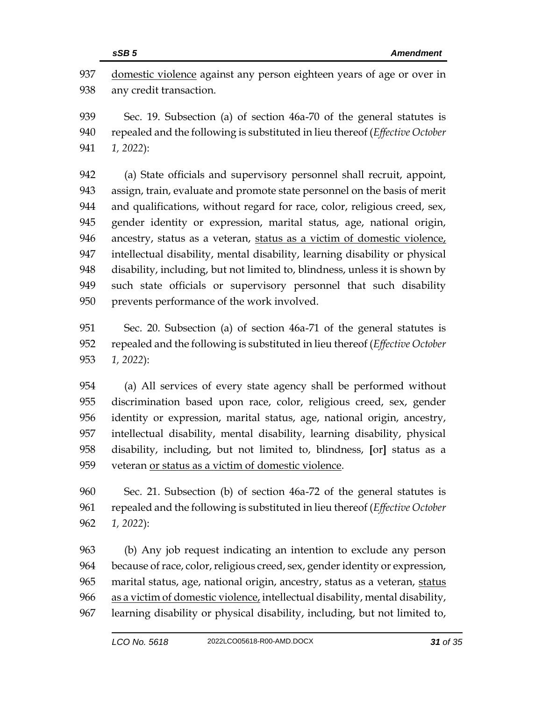domestic violence against any person eighteen years of age or over in any credit transaction.

 Sec. 19. Subsection (a) of section 46a-70 of the general statutes is repealed and the following is substituted in lieu thereof (*Effective October 1, 2022*):

 (a) State officials and supervisory personnel shall recruit, appoint, assign, train, evaluate and promote state personnel on the basis of merit and qualifications, without regard for race, color, religious creed, sex, gender identity or expression, marital status, age, national origin, ancestry, status as a veteran, status as a victim of domestic violence, intellectual disability, mental disability, learning disability or physical disability, including, but not limited to, blindness, unless it is shown by such state officials or supervisory personnel that such disability prevents performance of the work involved.

 Sec. 20. Subsection (a) of section 46a-71 of the general statutes is repealed and the following is substituted in lieu thereof (*Effective October 1, 2022*):

 (a) All services of every state agency shall be performed without discrimination based upon race, color, religious creed, sex, gender identity or expression, marital status, age, national origin, ancestry, intellectual disability, mental disability, learning disability, physical disability, including, but not limited to, blindness, **[**or**]** status as a veteran or status as a victim of domestic violence.

 Sec. 21. Subsection (b) of section 46a-72 of the general statutes is repealed and the following is substituted in lieu thereof (*Effective October 1, 2022*):

 (b) Any job request indicating an intention to exclude any person because of race, color, religious creed, sex, gender identity or expression, 965 marital status, age, national origin, ancestry, status as a veteran, status as a victim of domestic violence, intellectual disability, mental disability, learning disability or physical disability, including, but not limited to,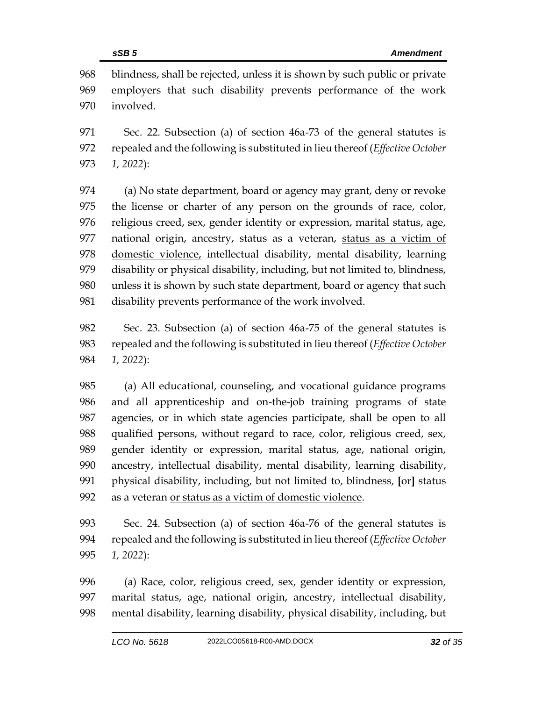blindness, shall be rejected, unless it is shown by such public or private employers that such disability prevents performance of the work involved.

 Sec. 22. Subsection (a) of section 46a-73 of the general statutes is repealed and the following is substituted in lieu thereof (*Effective October 1, 2022*):

 (a) No state department, board or agency may grant, deny or revoke the license or charter of any person on the grounds of race, color, religious creed, sex, gender identity or expression, marital status, age, national origin, ancestry, status as a veteran, status as a victim of domestic violence, intellectual disability, mental disability, learning disability or physical disability, including, but not limited to, blindness, unless it is shown by such state department, board or agency that such disability prevents performance of the work involved.

 Sec. 23. Subsection (a) of section 46a-75 of the general statutes is repealed and the following is substituted in lieu thereof (*Effective October 1, 2022*):

 (a) All educational, counseling, and vocational guidance programs and all apprenticeship and on-the-job training programs of state agencies, or in which state agencies participate, shall be open to all qualified persons, without regard to race, color, religious creed, sex, gender identity or expression, marital status, age, national origin, ancestry, intellectual disability, mental disability, learning disability, physical disability, including, but not limited to, blindness, **[**or**]** status as a veteran or status as a victim of domestic violence.

 Sec. 24. Subsection (a) of section 46a-76 of the general statutes is repealed and the following is substituted in lieu thereof (*Effective October 1, 2022*):

 (a) Race, color, religious creed, sex, gender identity or expression, marital status, age, national origin, ancestry, intellectual disability, mental disability, learning disability, physical disability, including, but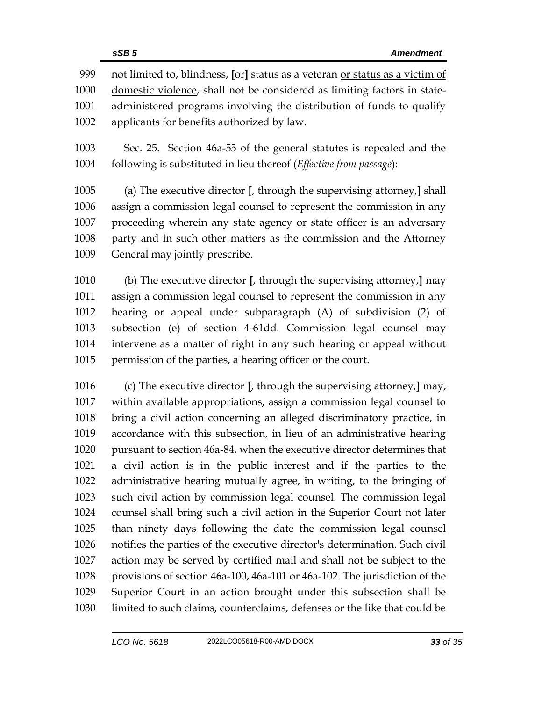not limited to, blindness, **[**or**]** status as a veteran or status as a victim of domestic violence, shall not be considered as limiting factors in state- administered programs involving the distribution of funds to qualify applicants for benefits authorized by law.

 Sec. 25. Section 46a-55 of the general statutes is repealed and the following is substituted in lieu thereof (*Effective from passage*):

 (a) The executive director **[**, through the supervising attorney,**]** shall assign a commission legal counsel to represent the commission in any proceeding wherein any state agency or state officer is an adversary party and in such other matters as the commission and the Attorney General may jointly prescribe.

 (b) The executive director **[**, through the supervising attorney,**]** may assign a commission legal counsel to represent the commission in any hearing or appeal under subparagraph (A) of subdivision (2) of subsection (e) of section 4-61dd. Commission legal counsel may intervene as a matter of right in any such hearing or appeal without permission of the parties, a hearing officer or the court.

 (c) The executive director **[**, through the supervising attorney,**]** may, within available appropriations, assign a commission legal counsel to bring a civil action concerning an alleged discriminatory practice, in accordance with this subsection, in lieu of an administrative hearing pursuant to section 46a-84, when the executive director determines that a civil action is in the public interest and if the parties to the administrative hearing mutually agree, in writing, to the bringing of such civil action by commission legal counsel. The commission legal counsel shall bring such a civil action in the Superior Court not later than ninety days following the date the commission legal counsel notifies the parties of the executive director's determination. Such civil action may be served by certified mail and shall not be subject to the provisions of section 46a-100, 46a-101 or 46a-102. The jurisdiction of the Superior Court in an action brought under this subsection shall be limited to such claims, counterclaims, defenses or the like that could be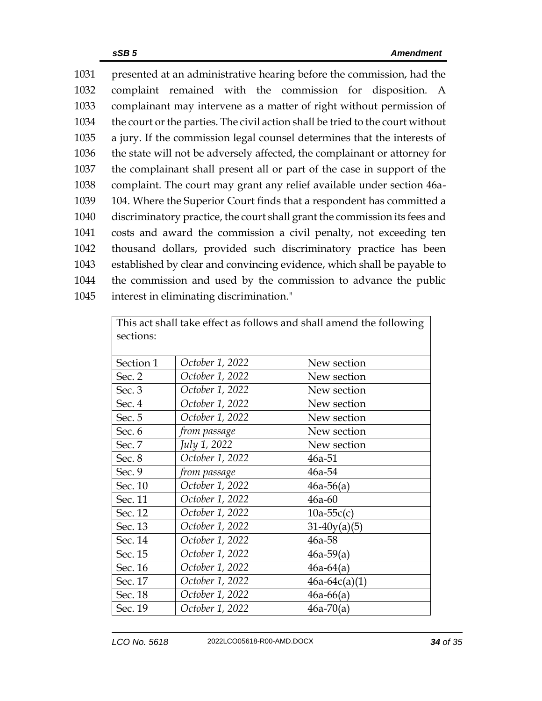presented at an administrative hearing before the commission, had the complaint remained with the commission for disposition. A complainant may intervene as a matter of right without permission of the court or the parties. The civil action shall be tried to the court without a jury. If the commission legal counsel determines that the interests of the state will not be adversely affected, the complainant or attorney for the complainant shall present all or part of the case in support of the complaint. The court may grant any relief available under section 46a- 104. Where the Superior Court finds that a respondent has committed a discriminatory practice, the court shall grant the commission its fees and costs and award the commission a civil penalty, not exceeding ten thousand dollars, provided such discriminatory practice has been established by clear and convincing evidence, which shall be payable to the commission and used by the commission to advance the public interest in eliminating discrimination."

| sections: |                 |                 |
|-----------|-----------------|-----------------|
| Section 1 | October 1, 2022 | New section     |
| Sec. 2    | October 1, 2022 | New section     |
| Sec. 3    | October 1, 2022 | New section     |
| Sec. 4    | October 1, 2022 | New section     |
| Sec. 5    | October 1, 2022 | New section     |
| Sec. 6    | from passage    | New section     |
| Sec. 7    | July 1, 2022    | New section     |
| Sec. 8    | October 1, 2022 | 46a-51          |
| Sec. 9    | from passage    | 46a-54          |
| Sec. 10   | October 1, 2022 | $46a-56(a)$     |
| Sec. 11   | October 1, 2022 | $46a-60$        |
| Sec. 12   | October 1, 2022 | $10a-55c(c)$    |
| Sec. 13   | October 1, 2022 | $31-40y(a)(5)$  |
| Sec. 14   | October 1, 2022 | 46a-58          |
| Sec. 15   | October 1, 2022 | $46a-59(a)$     |
| Sec. 16   | October 1, 2022 | $46a-64(a)$     |
| Sec. 17   | October 1, 2022 | $46a-64c(a)(1)$ |
| Sec. 18   | October 1, 2022 | $46a - 66(a)$   |
| Sec. 19   | October 1, 2022 | $46a-70(a)$     |

This act shall take effect as follows and shall amend the following